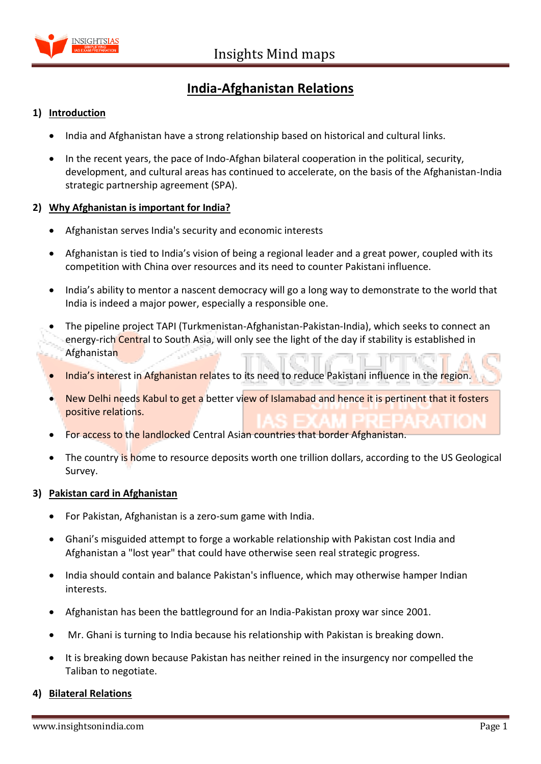

# **India-Afghanistan Relations**

# **1) Introduction**

- India and Afghanistan have a strong relationship based on historical and cultural links.
- In the recent years, the pace of Indo-Afghan bilateral cooperation in the political, security, development, and cultural areas has continued to accelerate, on the basis of the Afghanistan-India strategic partnership agreement (SPA).

# **2) Why Afghanistan is important for India?**

- Afghanistan serves India's security and economic interests
- Afghanistan is tied to India's vision of being a regional leader and a great power, coupled with its competition with China over resources and its need to counter Pakistani influence.
- India's ability to mentor a nascent democracy will go a long way to demonstrate to the world that India is indeed a major power, especially a responsible one.
- The pipeline project TAPI (Turkmenistan-Afghanistan-Pakistan-India), which seeks to connect an energy-rich Central to South Asia, will only see the light of the day if stability is established in Afghanistan
- India's interest in Afghanistan relates to its need to reduce Pakistani influence in the region.
- New Delhi needs Kabul to get a better view of Islamabad and hence it is pertinent that it fosters positive relations.
- For access to the landlocked Central Asian countries that border Afghanistan.
- The country is home to resource deposits worth one trillion dollars, according to the US Geological Survey.

#### **3) Pakistan card in Afghanistan**

- For Pakistan, Afghanistan is a zero-sum game with India.
- Ghani's misguided attempt to forge a workable relationship with Pakistan cost India and Afghanistan a "lost year" that could have otherwise seen real strategic progress.
- India should contain and balance Pakistan's influence, which may otherwise hamper Indian interests.
- Afghanistan has been the battleground for an India-Pakistan proxy war since 2001.
- Mr. Ghani is turning to India because his relationship with Pakistan is breaking down.
- It is breaking down because Pakistan has neither reined in the insurgency nor compelled the Taliban to negotiate.

# **4) Bilateral Relations**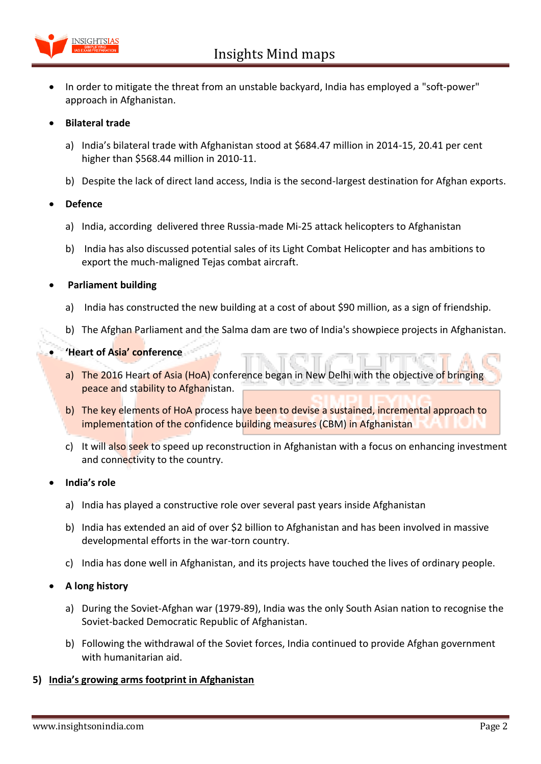

 In order to mitigate the threat from an unstable backyard, India has employed a "soft-power" approach in Afghanistan.

### **Bilateral trade**

- a) India's bilateral trade with Afghanistan stood at \$684.47 million in 2014-15, 20.41 per cent higher than \$568.44 million in 2010-11.
- b) Despite the lack of direct land access, India is the second-largest destination for Afghan exports.

#### **Defence**

- a) India, according delivered three Russia-made Mi-25 attack helicopters to Afghanistan
- b) India has also discussed potential sales of its Light Combat Helicopter and has ambitions to export the much-maligned Tejas combat aircraft.

### **Parliament building**

- a) India has constructed the new building at a cost of about \$90 million, as a sign of friendship.
- b) The Afghan Parliament and the Salma dam are two of India's showpiece projects in Afghanistan.
- **'Heart of Asia' conference**
	- a) The 2016 Heart of Asia (HoA) conference began in New Delhi with the objective of bringing peace and stability to Afghanistan.
	- b) The key elements of HoA process have been to devise a sustained, incremental approach to implementation of the confidence building measures (CBM) in Afghanistan
	- c) It will also seek to speed up reconstruction in Afghanistan with a focus on enhancing investment and connectivity to the country.

# **India's role**

- a) India has played a constructive role over several past years inside Afghanistan
- b) India has extended an aid of over \$2 billion to Afghanistan and has been involved in massive developmental efforts in the war-torn country.
- c) India has done well in Afghanistan, and its projects have touched the lives of ordinary people.

# **A long history**

- a) During the Soviet-Afghan war (1979-89), India was the only South Asian nation to recognise the Soviet-backed Democratic Republic of Afghanistan.
- b) Following the withdrawal of the Soviet forces, India continued to provide Afghan government with humanitarian aid.

#### **5) India's growing arms footprint in Afghanistan**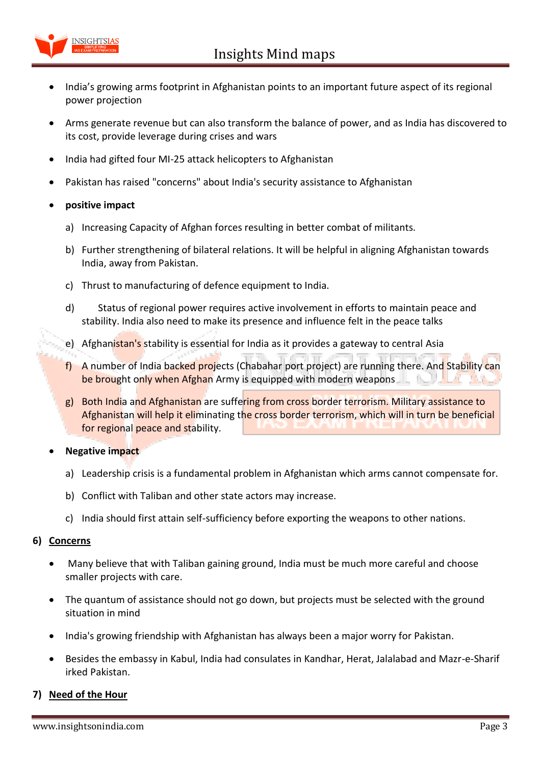

- India's growing arms footprint in Afghanistan points to an important future aspect of its regional power projection
- Arms generate revenue but can also transform the balance of power, and as India has discovered to its cost, provide leverage during crises and wars
- India had gifted four MI-25 attack helicopters to Afghanistan
- Pakistan has raised "concerns" about India's security assistance to Afghanistan
- **positive impact**
	- a) Increasing Capacity of Afghan forces resulting in better combat of militants.
	- b) Further strengthening of bilateral relations. It will be helpful in aligning Afghanistan towards India, away from Pakistan.
	- c) Thrust to manufacturing of defence equipment to India.
	- d) Status of regional power requires active involvement in efforts to maintain peace and stability. India also need to make its presence and influence felt in the peace talks
	- e) Afghanistan's stability is essential for India as it provides a gateway to central Asia
	- f) A number of India backed projects (Chabahar port project) are running there. And Stability can be brought only when Afghan Army is equipped with modern weapons
	- g) Both India and Afghanistan are suffering from cross border terrorism. Military assistance to Afghanistan will help it eliminating the cross border terrorism, which will in turn be beneficial for regional peace and stability.
- **Negative impact**
	- a) Leadership crisis is a fundamental problem in Afghanistan which arms cannot compensate for.
	- b) Conflict with Taliban and other state actors may increase.
	- c) India should first attain self-sufficiency before exporting the weapons to other nations.

#### **6) Concerns**

- Many believe that with Taliban gaining ground, India must be much more careful and choose smaller projects with care.
- The quantum of assistance should not go down, but projects must be selected with the ground situation in mind
- India's growing friendship with Afghanistan has always been a major worry for Pakistan.
- Besides the embassy in Kabul, India had consulates in Kandhar, Herat, Jalalabad and Mazr-e-Sharif irked Pakistan.

#### **7) Need of the Hour**